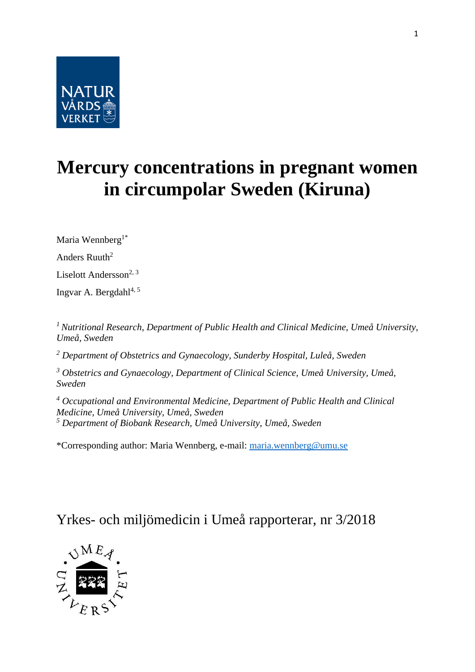

# **Mercury concentrations in pregnant women in circumpolar Sweden (Kiruna)**

Maria Wennberg<sup>1\*</sup>

Anders Ruuth<sup>2</sup>

Liselott Andersson<sup>2, 3</sup>

Ingvar A. Bergdahl $4, 5$ 

*<sup>1</sup>Nutritional Research, Department of Public Health and Clinical Medicine, Umeå University, Umeå, Sweden*

*<sup>2</sup> Department of Obstetrics and Gynaecology, Sunderby Hospital, Luleå, Sweden*

*<sup>3</sup> Obstetrics and Gynaecology, Department of Clinical Science, Umeå University, Umeå, Sweden*

*<sup>4</sup> Occupational and Environmental Medicine, Department of Public Health and Clinical Medicine, Umeå University, Umeå, Sweden <sup>5</sup> Department of Biobank Research, Umeå University, Umeå, Sweden*

\*Corresponding author: Maria Wennberg, e-mail: [maria.wennberg@umu.se](mailto:maria.wennberg@umu.se)

# Yrkes- och miljömedicin i Umeå rapporterar, nr 3/2018

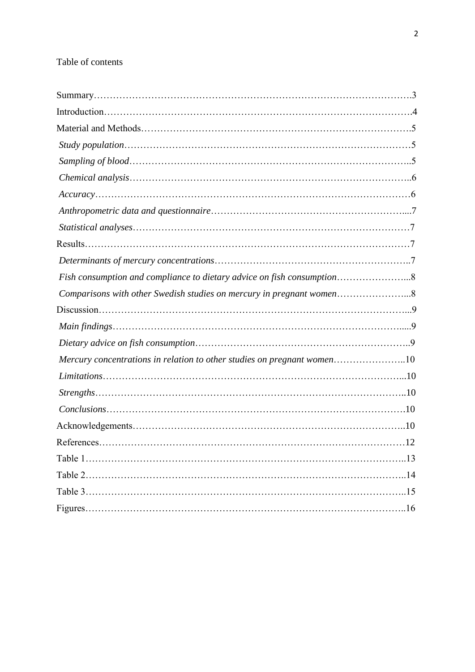# Table of contents

| Fish consumption and compliance to dietary advice on fish consumption8  |  |
|-------------------------------------------------------------------------|--|
| Comparisons with other Swedish studies on mercury in pregnant women8    |  |
|                                                                         |  |
|                                                                         |  |
|                                                                         |  |
| Mercury concentrations in relation to other studies on pregnant women10 |  |
|                                                                         |  |
|                                                                         |  |
| $Conclusions. \dots 10$                                                 |  |
|                                                                         |  |
|                                                                         |  |
|                                                                         |  |
|                                                                         |  |
|                                                                         |  |
|                                                                         |  |
|                                                                         |  |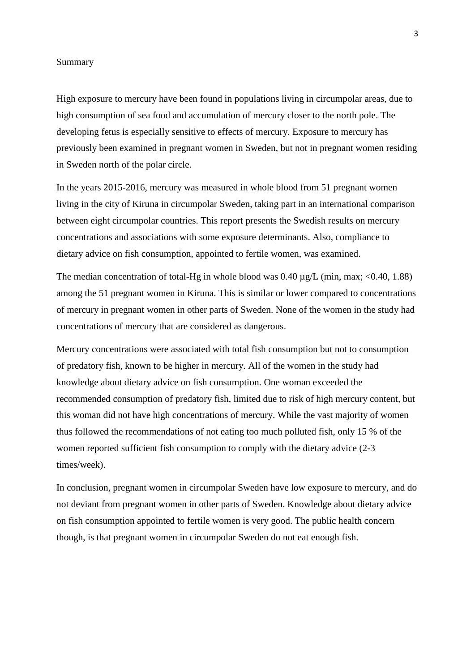#### Summary

High exposure to mercury have been found in populations living in circumpolar areas, due to high consumption of sea food and accumulation of mercury closer to the north pole. The developing fetus is especially sensitive to effects of mercury. Exposure to mercury has previously been examined in pregnant women in Sweden, but not in pregnant women residing in Sweden north of the polar circle.

In the years 2015-2016, mercury was measured in whole blood from 51 pregnant women living in the city of Kiruna in circumpolar Sweden, taking part in an international comparison between eight circumpolar countries. This report presents the Swedish results on mercury concentrations and associations with some exposure determinants. Also, compliance to dietary advice on fish consumption, appointed to fertile women, was examined.

The median concentration of total-Hg in whole blood was  $0.40 \mu g/L$  (min, max; <0.40, 1.88) among the 51 pregnant women in Kiruna. This is similar or lower compared to concentrations of mercury in pregnant women in other parts of Sweden. None of the women in the study had concentrations of mercury that are considered as dangerous.

Mercury concentrations were associated with total fish consumption but not to consumption of predatory fish, known to be higher in mercury. All of the women in the study had knowledge about dietary advice on fish consumption. One woman exceeded the recommended consumption of predatory fish, limited due to risk of high mercury content, but this woman did not have high concentrations of mercury. While the vast majority of women thus followed the recommendations of not eating too much polluted fish, only 15 % of the women reported sufficient fish consumption to comply with the dietary advice (2-3 times/week).

In conclusion, pregnant women in circumpolar Sweden have low exposure to mercury, and do not deviant from pregnant women in other parts of Sweden. Knowledge about dietary advice on fish consumption appointed to fertile women is very good. The public health concern though, is that pregnant women in circumpolar Sweden do not eat enough fish.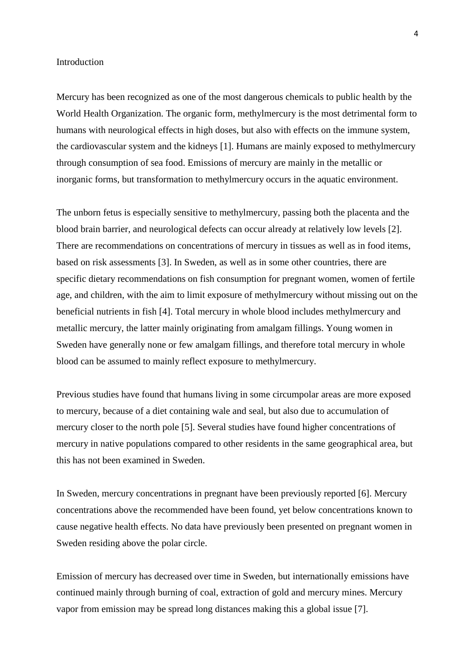#### Introduction

Mercury has been recognized as one of the most dangerous chemicals to public health by the World Health Organization. The organic form, methylmercury is the most detrimental form to humans with neurological effects in high doses, but also with effects on the immune system, the cardiovascular system and the kidneys [1]. Humans are mainly exposed to methylmercury through consumption of sea food. Emissions of mercury are mainly in the metallic or inorganic forms, but transformation to methylmercury occurs in the aquatic environment.

The unborn fetus is especially sensitive to methylmercury, passing both the placenta and the blood brain barrier, and neurological defects can occur already at relatively low levels [2]. There are recommendations on concentrations of mercury in tissues as well as in food items, based on risk assessments [3]. In Sweden, as well as in some other countries, there are specific dietary recommendations on fish consumption for pregnant women, women of fertile age, and children, with the aim to limit exposure of methylmercury without missing out on the beneficial nutrients in fish [4]. Total mercury in whole blood includes methylmercury and metallic mercury, the latter mainly originating from amalgam fillings. Young women in Sweden have generally none or few amalgam fillings, and therefore total mercury in whole blood can be assumed to mainly reflect exposure to methylmercury.

Previous studies have found that humans living in some circumpolar areas are more exposed to mercury, because of a diet containing wale and seal, but also due to accumulation of mercury closer to the north pole [5]. Several studies have found higher concentrations of mercury in native populations compared to other residents in the same geographical area, but this has not been examined in Sweden.

In Sweden, mercury concentrations in pregnant have been previously reported [6]. Mercury concentrations above the recommended have been found, yet below concentrations known to cause negative health effects. No data have previously been presented on pregnant women in Sweden residing above the polar circle.

Emission of mercury has decreased over time in Sweden, but internationally emissions have continued mainly through burning of coal, extraction of gold and mercury mines. Mercury vapor from emission may be spread long distances making this a global issue [7].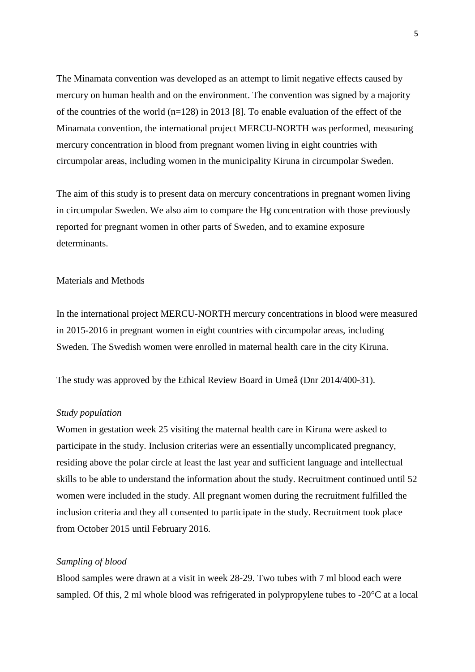The Minamata convention was developed as an attempt to limit negative effects caused by mercury on human health and on the environment. The convention was signed by a majority of the countries of the world (n=128) in 2013 [8]. To enable evaluation of the effect of the Minamata convention, the international project MERCU-NORTH was performed, measuring mercury concentration in blood from pregnant women living in eight countries with circumpolar areas, including women in the municipality Kiruna in circumpolar Sweden.

The aim of this study is to present data on mercury concentrations in pregnant women living in circumpolar Sweden. We also aim to compare the Hg concentration with those previously reported for pregnant women in other parts of Sweden, and to examine exposure determinants.

#### Materials and Methods

In the international project MERCU-NORTH mercury concentrations in blood were measured in 2015-2016 in pregnant women in eight countries with circumpolar areas, including Sweden. The Swedish women were enrolled in maternal health care in the city Kiruna.

The study was approved by the Ethical Review Board in Umeå (Dnr 2014/400-31).

#### *Study population*

Women in gestation week 25 visiting the maternal health care in Kiruna were asked to participate in the study. Inclusion criterias were an essentially uncomplicated pregnancy, residing above the polar circle at least the last year and sufficient language and intellectual skills to be able to understand the information about the study. Recruitment continued until 52 women were included in the study. All pregnant women during the recruitment fulfilled the inclusion criteria and they all consented to participate in the study. Recruitment took place from October 2015 until February 2016.

#### *Sampling of blood*

Blood samples were drawn at a visit in week 28-29. Two tubes with 7 ml blood each were sampled. Of this, 2 ml whole blood was refrigerated in polypropylene tubes to -20°C at a local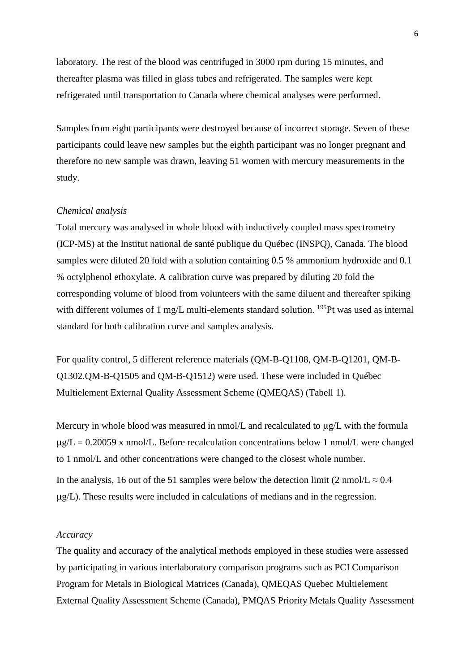laboratory. The rest of the blood was centrifuged in 3000 rpm during 15 minutes, and thereafter plasma was filled in glass tubes and refrigerated. The samples were kept refrigerated until transportation to Canada where chemical analyses were performed.

Samples from eight participants were destroyed because of incorrect storage. Seven of these participants could leave new samples but the eighth participant was no longer pregnant and therefore no new sample was drawn, leaving 51 women with mercury measurements in the study.

#### *Chemical analysis*

Total mercury was analysed in whole blood with inductively coupled mass spectrometry (ICP-MS) at the Institut national de santé publique du Québec (INSPQ), Canada. The blood samples were diluted 20 fold with a solution containing 0.5 % ammonium hydroxide and 0.1 % octylphenol ethoxylate. A calibration curve was prepared by diluting 20 fold the corresponding volume of blood from volunteers with the same diluent and thereafter spiking with different volumes of 1 mg/L multi-elements standard solution.  $^{195}$ Pt was used as internal standard for both calibration curve and samples analysis.

For quality control, 5 different reference materials (QM-B-Q1108, QM-B-Q1201, QM-B-Q1302.QM-B-Q1505 and QM-B-Q1512) were used. These were included in Québec Multielement External Quality Assessment Scheme (QMEQAS) (Tabell 1).

Mercury in whole blood was measured in  $nmol/L$  and recalculated to  $\mu g/L$  with the formula  $\mu$ g/L = 0.20059 x nmol/L. Before recalculation concentrations below 1 nmol/L were changed to 1 nmol/L and other concentrations were changed to the closest whole number.

In the analysis, 16 out of the 51 samples were below the detection limit (2 nmol/L  $\approx$  0.4 µg/L). These results were included in calculations of medians and in the regression.

#### *Accuracy*

The quality and accuracy of the analytical methods employed in these studies were assessed by participating in various interlaboratory comparison programs such as PCI Comparison Program for Metals in Biological Matrices (Canada), QMEQAS Quebec Multielement External Quality Assessment Scheme (Canada), PMQAS Priority Metals Quality Assessment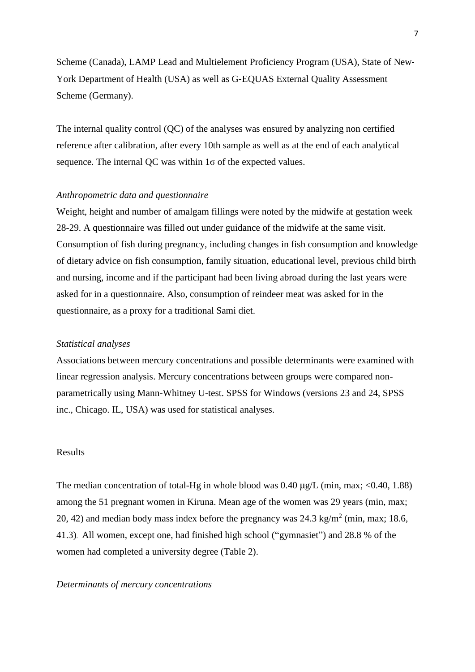Scheme (Canada), LAMP Lead and Multielement Proficiency Program (USA), State of New‐ York Department of Health (USA) as well as G‐EQUAS External Quality Assessment Scheme (Germany).

The internal quality control (QC) of the analyses was ensured by analyzing non certified reference after calibration, after every 10th sample as well as at the end of each analytical sequence. The internal OC was within  $1\sigma$  of the expected values.

#### *Anthropometric data and questionnaire*

Weight, height and number of amalgam fillings were noted by the midwife at gestation week 28-29. A questionnaire was filled out under guidance of the midwife at the same visit. Consumption of fish during pregnancy, including changes in fish consumption and knowledge of dietary advice on fish consumption, family situation, educational level, previous child birth and nursing, income and if the participant had been living abroad during the last years were asked for in a questionnaire. Also, consumption of reindeer meat was asked for in the questionnaire, as a proxy for a traditional Sami diet.

#### *Statistical analyses*

Associations between mercury concentrations and possible determinants were examined with linear regression analysis. Mercury concentrations between groups were compared nonparametrically using Mann-Whitney U-test. SPSS for Windows (versions 23 and 24, SPSS inc., Chicago. IL, USA) was used for statistical analyses.

#### Results

The median concentration of total-Hg in whole blood was  $0.40 \mu g/L$  (min, max; <0.40, 1.88) among the 51 pregnant women in Kiruna. Mean age of the women was 29 years (min, max; 20, 42) and median body mass index before the pregnancy was  $24.3 \text{ kg/m}^2$  (min, max; 18.6, 41.3). All women, except one, had finished high school ("gymnasiet") and 28.8 % of the women had completed a university degree (Table 2).

#### *Determinants of mercury concentrations*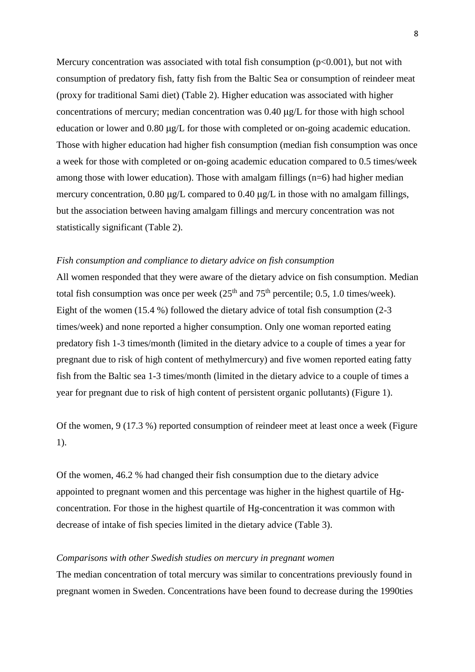Mercury concentration was associated with total fish consumption  $(p<0.001)$ , but not with consumption of predatory fish, fatty fish from the Baltic Sea or consumption of reindeer meat (proxy for traditional Sami diet) (Table 2). Higher education was associated with higher concentrations of mercury; median concentration was 0.40 µg/L for those with high school education or lower and 0.80 µg/L for those with completed or on-going academic education. Those with higher education had higher fish consumption (median fish consumption was once a week for those with completed or on-going academic education compared to 0.5 times/week among those with lower education). Those with amalgam fillings (n=6) had higher median mercury concentration, 0.80  $\mu$ g/L compared to 0.40  $\mu$ g/L in those with no amalgam fillings, but the association between having amalgam fillings and mercury concentration was not statistically significant (Table 2).

## *Fish consumption and compliance to dietary advice on fish consumption*

All women responded that they were aware of the dietary advice on fish consumption. Median total fish consumption was once per week  $(25<sup>th</sup>$  and  $75<sup>th</sup>$  percentile; 0.5, 1.0 times/week). Eight of the women (15.4 %) followed the dietary advice of total fish consumption (2-3 times/week) and none reported a higher consumption. Only one woman reported eating predatory fish 1-3 times/month (limited in the dietary advice to a couple of times a year for pregnant due to risk of high content of methylmercury) and five women reported eating fatty fish from the Baltic sea 1-3 times/month (limited in the dietary advice to a couple of times a year for pregnant due to risk of high content of persistent organic pollutants) (Figure 1).

Of the women, 9 (17.3 %) reported consumption of reindeer meet at least once a week (Figure 1).

Of the women, 46.2 % had changed their fish consumption due to the dietary advice appointed to pregnant women and this percentage was higher in the highest quartile of Hgconcentration. For those in the highest quartile of Hg-concentration it was common with decrease of intake of fish species limited in the dietary advice (Table 3).

#### *Comparisons with other Swedish studies on mercury in pregnant women*

The median concentration of total mercury was similar to concentrations previously found in pregnant women in Sweden. Concentrations have been found to decrease during the 1990ties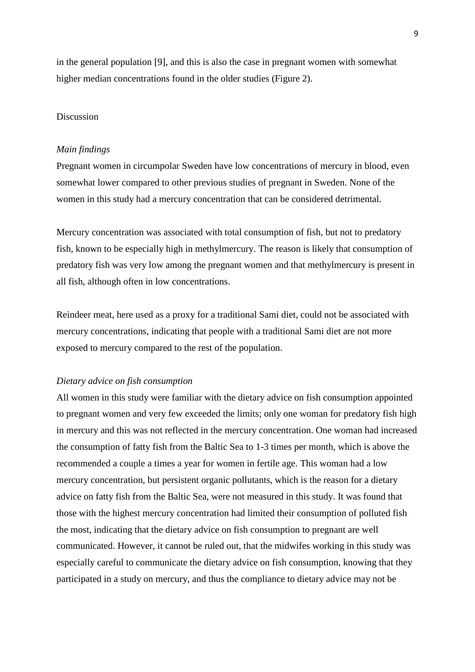in the general population [9], and this is also the case in pregnant women with somewhat higher median concentrations found in the older studies (Figure 2).

#### Discussion

#### *Main findings*

Pregnant women in circumpolar Sweden have low concentrations of mercury in blood, even somewhat lower compared to other previous studies of pregnant in Sweden. None of the women in this study had a mercury concentration that can be considered detrimental.

Mercury concentration was associated with total consumption of fish, but not to predatory fish, known to be especially high in methylmercury. The reason is likely that consumption of predatory fish was very low among the pregnant women and that methylmercury is present in all fish, although often in low concentrations.

Reindeer meat, here used as a proxy for a traditional Sami diet, could not be associated with mercury concentrations, indicating that people with a traditional Sami diet are not more exposed to mercury compared to the rest of the population.

#### *Dietary advice on fish consumption*

All women in this study were familiar with the dietary advice on fish consumption appointed to pregnant women and very few exceeded the limits; only one woman for predatory fish high in mercury and this was not reflected in the mercury concentration. One woman had increased the consumption of fatty fish from the Baltic Sea to 1-3 times per month, which is above the recommended a couple a times a year for women in fertile age. This woman had a low mercury concentration, but persistent organic pollutants, which is the reason for a dietary advice on fatty fish from the Baltic Sea, were not measured in this study. It was found that those with the highest mercury concentration had limited their consumption of polluted fish the most, indicating that the dietary advice on fish consumption to pregnant are well communicated. However, it cannot be ruled out, that the midwifes working in this study was especially careful to communicate the dietary advice on fish consumption, knowing that they participated in a study on mercury, and thus the compliance to dietary advice may not be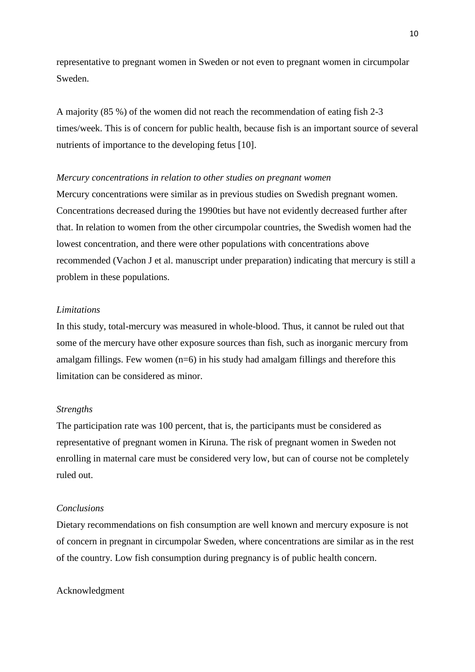representative to pregnant women in Sweden or not even to pregnant women in circumpolar Sweden.

A majority (85 %) of the women did not reach the recommendation of eating fish 2-3 times/week. This is of concern for public health, because fish is an important source of several nutrients of importance to the developing fetus [10].

#### *Mercury concentrations in relation to other studies on pregnant women*

Mercury concentrations were similar as in previous studies on Swedish pregnant women. Concentrations decreased during the 1990ties but have not evidently decreased further after that. In relation to women from the other circumpolar countries, the Swedish women had the lowest concentration, and there were other populations with concentrations above recommended (Vachon J et al. manuscript under preparation) indicating that mercury is still a problem in these populations.

### *Limitations*

In this study, total-mercury was measured in whole-blood. Thus, it cannot be ruled out that some of the mercury have other exposure sources than fish, such as inorganic mercury from amalgam fillings. Few women  $(n=6)$  in his study had amalgam fillings and therefore this limitation can be considered as minor.

#### *Strengths*

The participation rate was 100 percent, that is, the participants must be considered as representative of pregnant women in Kiruna. The risk of pregnant women in Sweden not enrolling in maternal care must be considered very low, but can of course not be completely ruled out.

#### *Conclusions*

Dietary recommendations on fish consumption are well known and mercury exposure is not of concern in pregnant in circumpolar Sweden, where concentrations are similar as in the rest of the country. Low fish consumption during pregnancy is of public health concern.

#### Acknowledgment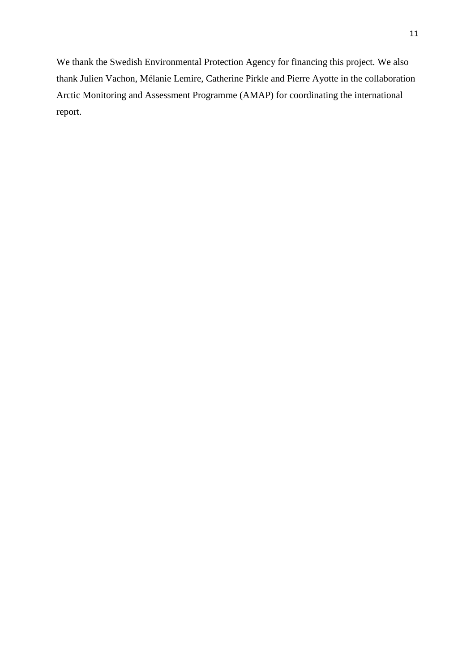We thank the Swedish Environmental Protection Agency for financing this project. We also thank Julien Vachon, Mélanie Lemire, Catherine Pirkle and Pierre Ayotte in the collaboration Arctic Monitoring and Assessment Programme (AMAP) for coordinating the international report.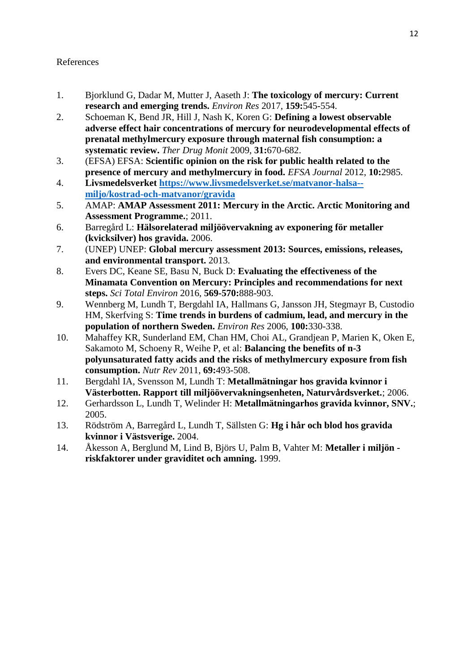# References

- 1. Bjorklund G, Dadar M, Mutter J, Aaseth J: **The toxicology of mercury: Current research and emerging trends.** *Environ Res* 2017, **159:**545-554.
- 2. Schoeman K, Bend JR, Hill J, Nash K, Koren G: **Defining a lowest observable adverse effect hair concentrations of mercury for neurodevelopmental effects of prenatal methylmercury exposure through maternal fish consumption: a systematic review.** *Ther Drug Monit* 2009, **31:**670-682.
- 3. (EFSA) EFSA: **Scientific opinion on the risk for public health related to the presence of mercury and methylmercury in food.** *EFSA Journal* 2012, **10:**2985.
- 4. **Livsmedelsverket [https://www.livsmedelsverket.se/matvanor-halsa-](https://www.livsmedelsverket.se/matvanor-halsa--miljo/kostrad-och-matvanor/gravida) [miljo/kostrad-och-matvanor/gravida](https://www.livsmedelsverket.se/matvanor-halsa--miljo/kostrad-och-matvanor/gravida)**
- 5. AMAP: **AMAP Assessment 2011: Mercury in the Arctic. Arctic Monitoring and Assessment Programme.**; 2011.
- 6. Barregård L: **Hälsorelaterad miljöövervakning av exponering för metaller (kvicksilver) hos gravida.** 2006.
- 7. (UNEP) UNEP: **Global mercury assessment 2013: Sources, emissions, releases, and environmental transport.** 2013.
- 8. Evers DC, Keane SE, Basu N, Buck D: **Evaluating the effectiveness of the Minamata Convention on Mercury: Principles and recommendations for next steps.** *Sci Total Environ* 2016, **569-570:**888-903.
- 9. Wennberg M, Lundh T, Bergdahl IA, Hallmans G, Jansson JH, Stegmayr B, Custodio HM, Skerfving S: **Time trends in burdens of cadmium, lead, and mercury in the population of northern Sweden.** *Environ Res* 2006, **100:**330-338.
- 10. Mahaffey KR, Sunderland EM, Chan HM, Choi AL, Grandjean P, Marien K, Oken E, Sakamoto M, Schoeny R, Weihe P, et al: **Balancing the benefits of n-3 polyunsaturated fatty acids and the risks of methylmercury exposure from fish consumption.** *Nutr Rev* 2011, **69:**493-508.
- 11. Bergdahl IA, Svensson M, Lundh T: **Metallmätningar hos gravida kvinnor i Västerbotten. Rapport till miljöövervakningsenheten, Naturvårdsverket.**; 2006.
- 12. Gerhardsson L, Lundh T, Welinder H: **Metallmätningarhos gravida kvinnor, SNV.**; 2005.
- 13. Rödström A, Barregård L, Lundh T, Sällsten G: **Hg i hår och blod hos gravida kvinnor i Västsverige.** 2004.
- 14. Åkesson A, Berglund M, Lind B, Björs U, Palm B, Vahter M: **Metaller i miljön riskfaktorer under graviditet och amning.** 1999.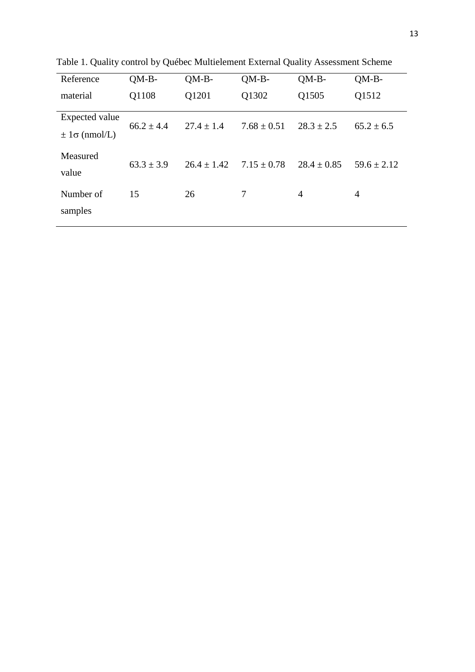| Reference                                | $QM-B-$        | $OM-B-$         | $OM-B-$         | $OM-B-$         | $OM-B-$         |
|------------------------------------------|----------------|-----------------|-----------------|-----------------|-----------------|
| material                                 | Q1108          | Q1201           | Q1302           | Q1505           | Q1512           |
| Expected value<br>$\pm 1\sigma$ (nmol/L) | $66.2 \pm 4.4$ | $27.4 \pm 1.4$  | $7.68 \pm 0.51$ | $28.3 \pm 2.5$  | $65.2 \pm 6.5$  |
| Measured<br>value                        | $63.3 \pm 3.9$ | $26.4 \pm 1.42$ | $7.15 \pm 0.78$ | $28.4 \pm 0.85$ | $59.6 \pm 2.12$ |
| Number of<br>samples                     | 15             | 26              | 7               | 4               | $\overline{4}$  |

Table 1. Quality control by Québec Multielement External Quality Assessment Scheme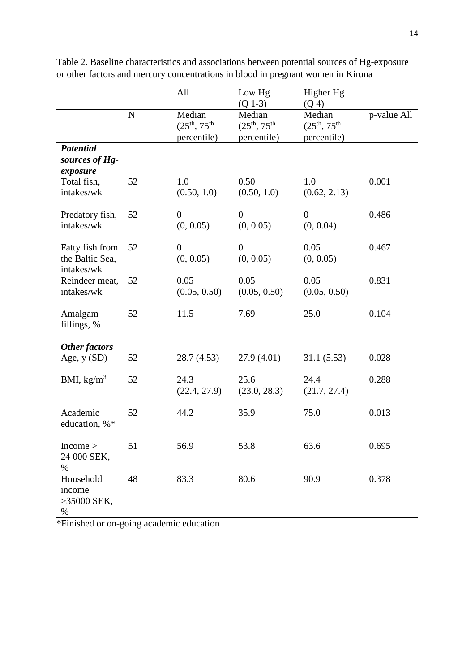|                                                      |           | All                                           | Low Hg<br>$(Q 1-3)$                           | Higher Hg<br>(Q <sub>4</sub> )                |             |
|------------------------------------------------------|-----------|-----------------------------------------------|-----------------------------------------------|-----------------------------------------------|-------------|
|                                                      | ${\bf N}$ | Median<br>$(25^{th}, 75^{th})$<br>percentile) | Median<br>$(25^{th}, 75^{th})$<br>percentile) | Median<br>$(25^{th}, 75^{th})$<br>percentile) | p-value All |
| <b>Potential</b><br>sources of Hg-<br>exposure       |           |                                               |                                               |                                               |             |
| Total fish,<br>intakes/wk                            | 52        | 1.0<br>(0.50, 1.0)                            | 0.50<br>(0.50, 1.0)                           | 1.0<br>(0.62, 2.13)                           | 0.001       |
| Predatory fish,<br>intakes/wk                        | 52        | $\boldsymbol{0}$<br>(0, 0.05)                 | $\overline{0}$<br>(0, 0.05)                   | $\boldsymbol{0}$<br>(0, 0.04)                 | 0.486       |
| Fatty fish from<br>the Baltic Sea,<br>intakes/wk     | 52        | $\boldsymbol{0}$<br>(0, 0.05)                 | $\boldsymbol{0}$<br>(0, 0.05)                 | 0.05<br>(0, 0.05)                             | 0.467       |
| Reindeer meat,<br>intakes/wk                         | 52        | 0.05<br>(0.05, 0.50)                          | 0.05<br>(0.05, 0.50)                          | 0.05<br>(0.05, 0.50)                          | 0.831       |
| Amalgam<br>fillings, %                               | 52        | 11.5                                          | 7.69                                          | 25.0                                          | 0.104       |
| <b>Other factors</b>                                 |           |                                               |                                               |                                               |             |
| Age, $y(SD)$                                         | 52        | 28.7 (4.53)                                   | 27.9(4.01)                                    | 31.1(5.53)                                    | 0.028       |
| BMI, $\text{kg/m}^3$                                 | 52        | 24.3<br>(22.4, 27.9)                          | 25.6<br>(23.0, 28.3)                          | 24.4<br>(21.7, 27.4)                          | 0.288       |
| Academic<br>education, %*                            | 52        | 44.2                                          | 35.9                                          | 75.0                                          | 0.013       |
| Income ><br>24 000 SEK,                              | 51        | 56.9                                          | 53.8                                          | 63.6                                          | 0.695       |
| $\%$<br>Household<br>income<br>$>35000$ SEK,<br>$\%$ | 48        | 83.3                                          | 80.6                                          | 90.9                                          | 0.378       |

Table 2. Baseline characteristics and associations between potential sources of Hg-exposure or other factors and mercury concentrations in blood in pregnant women in Kiruna

\*Finished or on-going academic education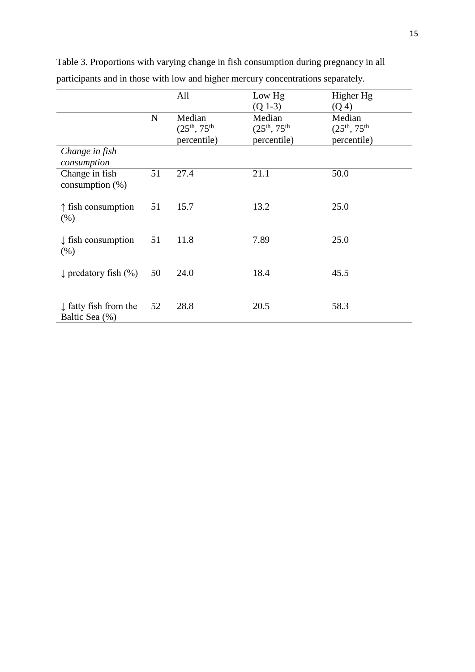|                                                    |             | All                                           | Low Hg<br>$(Q 1-3)$                           | Higher Hg<br>(Q <sub>4</sub> )                |
|----------------------------------------------------|-------------|-----------------------------------------------|-----------------------------------------------|-----------------------------------------------|
|                                                    | $\mathbf N$ | Median<br>$(25^{th}, 75^{th})$<br>percentile) | Median<br>$(25^{th}, 75^{th})$<br>percentile) | Median<br>$(25^{th}, 75^{th})$<br>percentile) |
| Change in fish<br>consumption                      |             |                                               |                                               |                                               |
| Change in fish<br>consumption $(\%)$               | 51          | 27.4                                          | 21.1                                          | 50.0                                          |
| $\uparrow$ fish consumption<br>(% )                | 51          | 15.7                                          | 13.2                                          | 25.0                                          |
| $\downarrow$ fish consumption<br>(% )              | 51          | 11.8                                          | 7.89                                          | 25.0                                          |
| $\downarrow$ predatory fish (%)                    | 50          | 24.0                                          | 18.4                                          | 45.5                                          |
| $\downarrow$ fatty fish from the<br>Baltic Sea (%) | 52          | 28.8                                          | 20.5                                          | 58.3                                          |

Table 3. Proportions with varying change in fish consumption during pregnancy in all participants and in those with low and higher mercury concentrations separately.